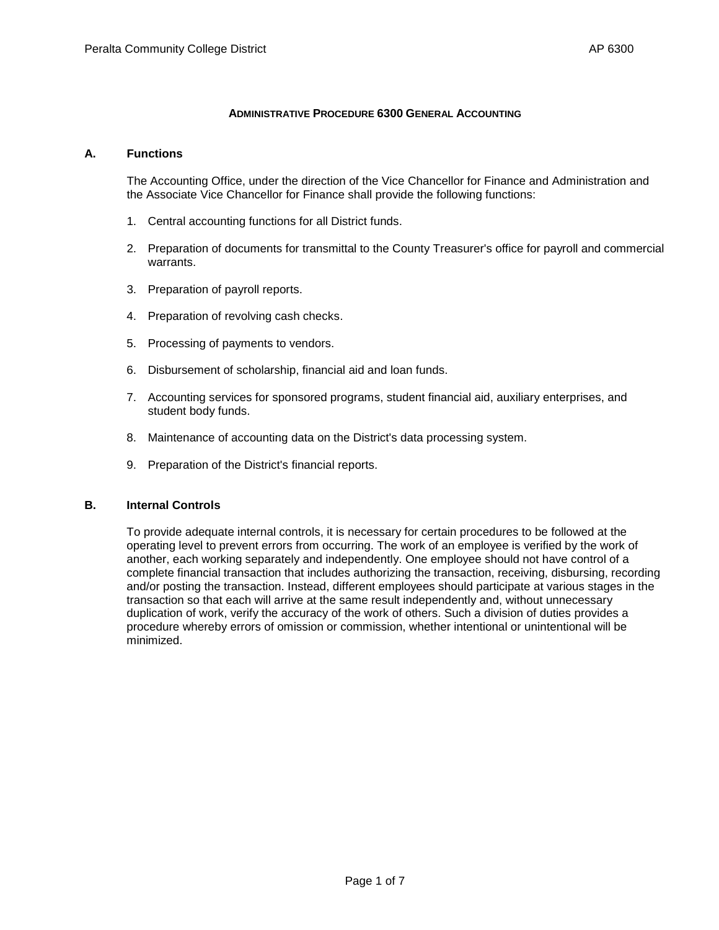#### **ADMINISTRATIVE PROCEDURE 6300 GENERAL ACCOUNTING**

#### **A. Functions**

The Accounting Office, under the direction of the Vice Chancellor for Finance and Administration and the Associate Vice Chancellor for Finance shall provide the following functions:

- 1. Central accounting functions for all District funds.
- 2. Preparation of documents for transmittal to the County Treasurer's office for payroll and commercial warrants.
- 3. Preparation of payroll reports.
- 4. Preparation of revolving cash checks.
- 5. Processing of payments to vendors.
- 6. Disbursement of scholarship, financial aid and loan funds.
- 7. Accounting services for sponsored programs, student financial aid, auxiliary enterprises, and student body funds.
- 8. Maintenance of accounting data on the District's data processing system.
- 9. Preparation of the District's financial reports.

### **B. Internal Controls**

To provide adequate internal controls, it is necessary for certain procedures to be followed at the operating level to prevent errors from occurring. The work of an employee is verified by the work of another, each working separately and independently. One employee should not have control of a complete financial transaction that includes authorizing the transaction, receiving, disbursing, recording and/or posting the transaction. Instead, different employees should participate at various stages in the transaction so that each will arrive at the same result independently and, without unnecessary duplication of work, verify the accuracy of the work of others. Such a division of duties provides a procedure whereby errors of omission or commission, whether intentional or unintentional will be minimized.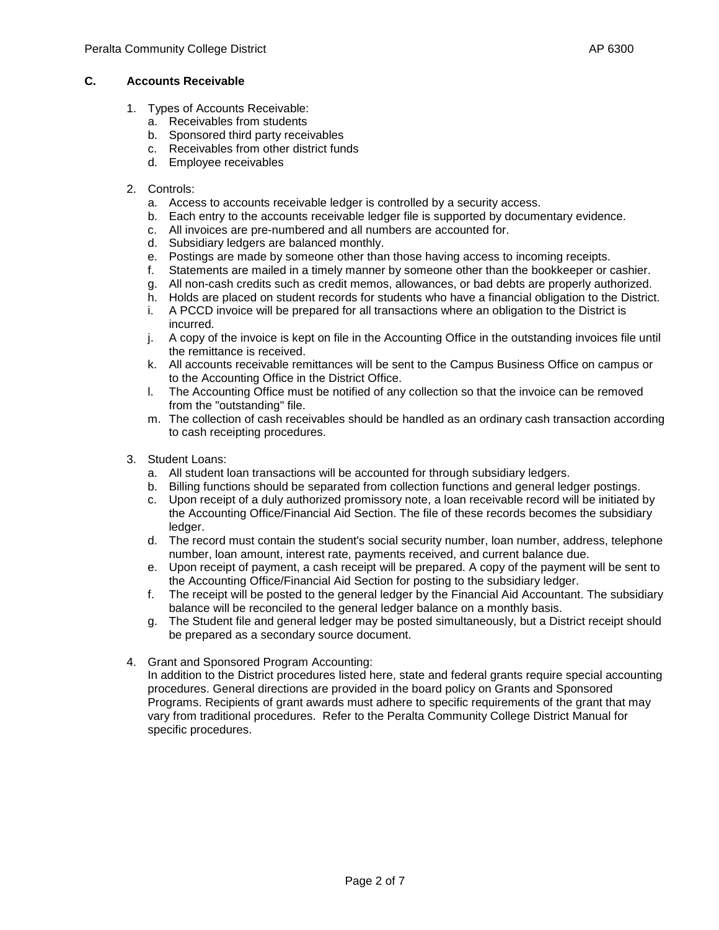- 1. Types of Accounts Receivable:
	- a. Receivables from students
	- b. Sponsored third party receivables
	- c. Receivables from other district funds
	- d. Employee receivables

### 2. Controls:

- a. Access to accounts receivable ledger is controlled by a security access.
- b. Each entry to the accounts receivable ledger file is supported by documentary evidence.
- c. All invoices are pre-numbered and all numbers are accounted for.
- d. Subsidiary ledgers are balanced monthly.
- e. Postings are made by someone other than those having access to incoming receipts.
- f. Statements are mailed in a timely manner by someone other than the bookkeeper or cashier.
- g. All non-cash credits such as credit memos, allowances, or bad debts are properly authorized.
- h. Holds are placed on student records for students who have a financial obligation to the District.
- i. A PCCD invoice will be prepared for all transactions where an obligation to the District is incurred.
- j. A copy of the invoice is kept on file in the Accounting Office in the outstanding invoices file until the remittance is received.
- k. All accounts receivable remittances will be sent to the Campus Business Office on campus or to the Accounting Office in the District Office.
- l. The Accounting Office must be notified of any collection so that the invoice can be removed from the "outstanding" file.
- m. The collection of cash receivables should be handled as an ordinary cash transaction according to cash receipting procedures.
- 3. Student Loans:
	- a. All student loan transactions will be accounted for through subsidiary ledgers.
	- b. Billing functions should be separated from collection functions and general ledger postings.
	- c. Upon receipt of a duly authorized promissory note, a loan receivable record will be initiated by the Accounting Office/Financial Aid Section. The file of these records becomes the subsidiary ledger.
	- d. The record must contain the student's social security number, loan number, address, telephone number, loan amount, interest rate, payments received, and current balance due.
	- e. Upon receipt of payment, a cash receipt will be prepared. A copy of the payment will be sent to the Accounting Office/Financial Aid Section for posting to the subsidiary ledger.
	- f. The receipt will be posted to the general ledger by the Financial Aid Accountant. The subsidiary balance will be reconciled to the general ledger balance on a monthly basis.
	- g. The Student file and general ledger may be posted simultaneously, but a District receipt should be prepared as a secondary source document.
- 4. Grant and Sponsored Program Accounting:

In addition to the District procedures listed here, state and federal grants require special accounting procedures. General directions are provided in the board policy on Grants and Sponsored Programs. Recipients of grant awards must adhere to specific requirements of the grant that may vary from traditional procedures. Refer to the Peralta Community College District Manual for specific procedures.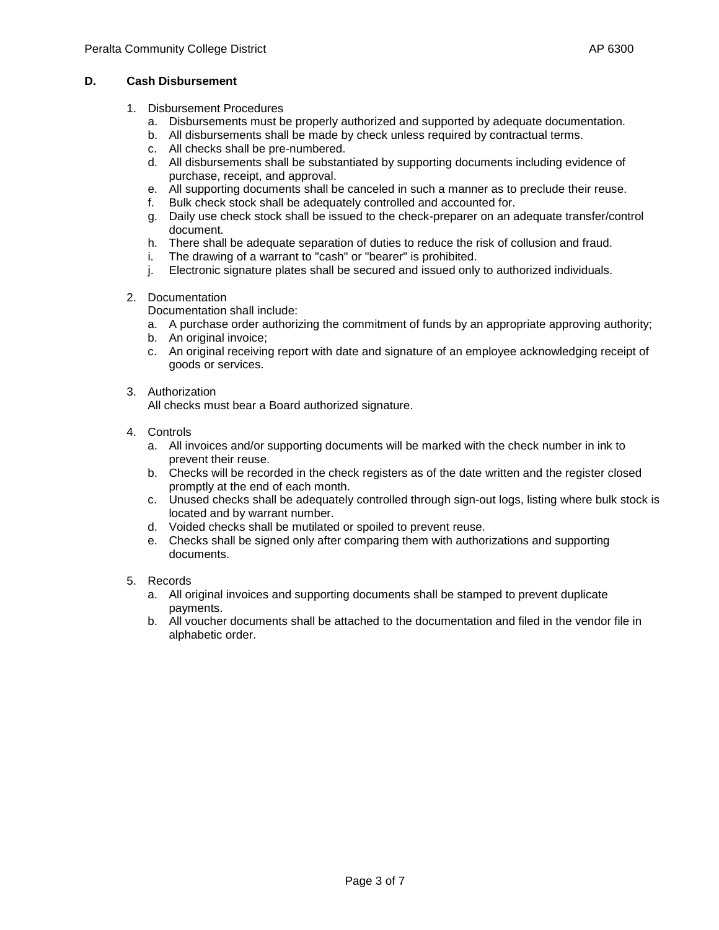- 1. Disbursement Procedures
	- a. Disbursements must be properly authorized and supported by adequate documentation.
	- b. All disbursements shall be made by check unless required by contractual terms.
	- c. All checks shall be pre-numbered.
	- d. All disbursements shall be substantiated by supporting documents including evidence of purchase, receipt, and approval.
	- e. All supporting documents shall be canceled in such a manner as to preclude their reuse.
	- Bulk check stock shall be adequately controlled and accounted for.
	- g. Daily use check stock shall be issued to the check-preparer on an adequate transfer/control document.
	- h. There shall be adequate separation of duties to reduce the risk of collusion and fraud.
	- i. The drawing of a warrant to "cash" or "bearer" is prohibited.
	- j. Electronic signature plates shall be secured and issued only to authorized individuals.
- 2. Documentation
	- Documentation shall include:
	- a. A purchase order authorizing the commitment of funds by an appropriate approving authority;
	- b. An original invoice:
	- c. An original receiving report with date and signature of an employee acknowledging receipt of goods or services.
- 3. Authorization

All checks must bear a Board authorized signature.

- 4. Controls
	- a. All invoices and/or supporting documents will be marked with the check number in ink to prevent their reuse.
	- b. Checks will be recorded in the check registers as of the date written and the register closed promptly at the end of each month.
	- c. Unused checks shall be adequately controlled through sign-out logs, listing where bulk stock is located and by warrant number.
	- d. Voided checks shall be mutilated or spoiled to prevent reuse.
	- e. Checks shall be signed only after comparing them with authorizations and supporting documents.
- 5. Records
	- a. All original invoices and supporting documents shall be stamped to prevent duplicate payments.
	- b. All voucher documents shall be attached to the documentation and filed in the vendor file in alphabetic order.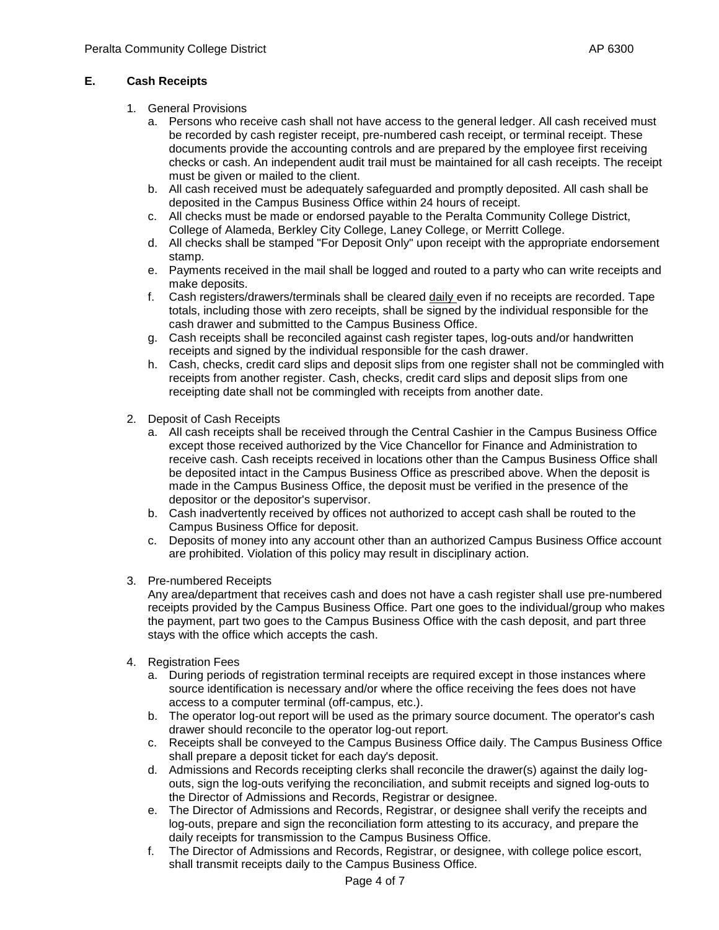# **E. Cash Receipts**

- 1. General Provisions
	- a. Persons who receive cash shall not have access to the general ledger. All cash received must be recorded by cash register receipt, pre-numbered cash receipt, or terminal receipt. These documents provide the accounting controls and are prepared by the employee first receiving checks or cash. An independent audit trail must be maintained for all cash receipts. The receipt must be given or mailed to the client.
	- b. All cash received must be adequately safeguarded and promptly deposited. All cash shall be deposited in the Campus Business Office within 24 hours of receipt.
	- c. All checks must be made or endorsed payable to the Peralta Community College District, College of Alameda, Berkley City College, Laney College, or Merritt College.
	- d. All checks shall be stamped "For Deposit Only" upon receipt with the appropriate endorsement stamp.
	- e. Payments received in the mail shall be logged and routed to a party who can write receipts and make deposits.
	- f. Cash registers/drawers/terminals shall be cleared daily even if no receipts are recorded. Tape totals, including those with zero receipts, shall be signed by the individual responsible for the cash drawer and submitted to the Campus Business Office.
	- g. Cash receipts shall be reconciled against cash register tapes, log-outs and/or handwritten receipts and signed by the individual responsible for the cash drawer.
	- h. Cash, checks, credit card slips and deposit slips from one register shall not be commingled with receipts from another register. Cash, checks, credit card slips and deposit slips from one receipting date shall not be commingled with receipts from another date.
- 2. Deposit of Cash Receipts
	- a. All cash receipts shall be received through the Central Cashier in the Campus Business Office except those received authorized by the Vice Chancellor for Finance and Administration to receive cash. Cash receipts received in locations other than the Campus Business Office shall be deposited intact in the Campus Business Office as prescribed above. When the deposit is made in the Campus Business Office, the deposit must be verified in the presence of the depositor or the depositor's supervisor.
	- b. Cash inadvertently received by offices not authorized to accept cash shall be routed to the Campus Business Office for deposit.
	- c. Deposits of money into any account other than an authorized Campus Business Office account are prohibited. Violation of this policy may result in disciplinary action.
- 3. Pre-numbered Receipts

Any area/department that receives cash and does not have a cash register shall use pre-numbered receipts provided by the Campus Business Office. Part one goes to the individual/group who makes the payment, part two goes to the Campus Business Office with the cash deposit, and part three stays with the office which accepts the cash.

- 4. Registration Fees
	- a. During periods of registration terminal receipts are required except in those instances where source identification is necessary and/or where the office receiving the fees does not have access to a computer terminal (off-campus, etc.).
	- b. The operator log-out report will be used as the primary source document. The operator's cash drawer should reconcile to the operator log-out report.
	- c. Receipts shall be conveyed to the Campus Business Office daily. The Campus Business Office shall prepare a deposit ticket for each day's deposit.
	- d. Admissions and Records receipting clerks shall reconcile the drawer(s) against the daily logouts, sign the log-outs verifying the reconciliation, and submit receipts and signed log-outs to the Director of Admissions and Records, Registrar or designee.
	- e. The Director of Admissions and Records, Registrar, or designee shall verify the receipts and log-outs, prepare and sign the reconciliation form attesting to its accuracy, and prepare the daily receipts for transmission to the Campus Business Office.
	- f. The Director of Admissions and Records, Registrar, or designee, with college police escort, shall transmit receipts daily to the Campus Business Office.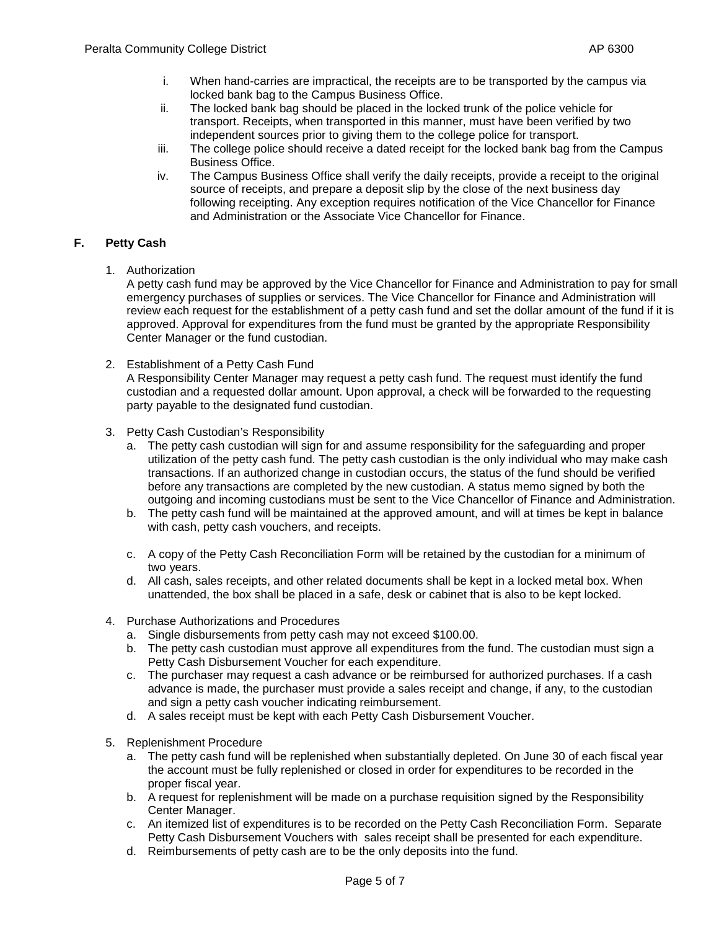- i. When hand-carries are impractical, the receipts are to be transported by the campus via locked bank bag to the Campus Business Office.
- ii. The locked bank bag should be placed in the locked trunk of the police vehicle for transport. Receipts, when transported in this manner, must have been verified by two independent sources prior to giving them to the college police for transport.
- iii. The college police should receive a dated receipt for the locked bank bag from the Campus Business Office.
- iv. The Campus Business Office shall verify the daily receipts, provide a receipt to the original source of receipts, and prepare a deposit slip by the close of the next business day following receipting. Any exception requires notification of the Vice Chancellor for Finance and Administration or the Associate Vice Chancellor for Finance.

# **F. Petty Cash**

1. Authorization

A petty cash fund may be approved by the Vice Chancellor for Finance and Administration to pay for small emergency purchases of supplies or services. The Vice Chancellor for Finance and Administration will review each request for the establishment of a petty cash fund and set the dollar amount of the fund if it is approved. Approval for expenditures from the fund must be granted by the appropriate Responsibility Center Manager or the fund custodian.

- 2. Establishment of a Petty Cash Fund A Responsibility Center Manager may request a petty cash fund. The request must identify the fund custodian and a requested dollar amount. Upon approval, a check will be forwarded to the requesting party payable to the designated fund custodian.
- 3. Petty Cash Custodian's Responsibility
	- a. The petty cash custodian will sign for and assume responsibility for the safeguarding and proper utilization of the petty cash fund. The petty cash custodian is the only individual who may make cash transactions. If an authorized change in custodian occurs, the status of the fund should be verified before any transactions are completed by the new custodian. A status memo signed by both the outgoing and incoming custodians must be sent to the Vice Chancellor of Finance and Administration.
	- b. The petty cash fund will be maintained at the approved amount, and will at times be kept in balance with cash, petty cash vouchers, and receipts.
	- c. A copy of the Petty Cash Reconciliation Form will be retained by the custodian for a minimum of two years.
	- d. All cash, sales receipts, and other related documents shall be kept in a locked metal box. When unattended, the box shall be placed in a safe, desk or cabinet that is also to be kept locked.
- 4. Purchase Authorizations and Procedures
	- a. Single disbursements from petty cash may not exceed \$100.00.
	- b. The petty cash custodian must approve all expenditures from the fund. The custodian must sign a Petty Cash Disbursement Voucher for each expenditure.
	- c. The purchaser may request a cash advance or be reimbursed for authorized purchases. If a cash advance is made, the purchaser must provide a sales receipt and change, if any, to the custodian and sign a petty cash voucher indicating reimbursement.
	- d. A sales receipt must be kept with each Petty Cash Disbursement Voucher.
- 5. Replenishment Procedure
	- a. The petty cash fund will be replenished when substantially depleted. On June 30 of each fiscal year the account must be fully replenished or closed in order for expenditures to be recorded in the proper fiscal year.
	- b. A request for replenishment will be made on a purchase requisition signed by the Responsibility Center Manager.
	- c. An itemized list of expenditures is to be recorded on the Petty Cash Reconciliation Form. Separate Petty Cash Disbursement Vouchers with sales receipt shall be presented for each expenditure.
	- d. Reimbursements of petty cash are to be the only deposits into the fund.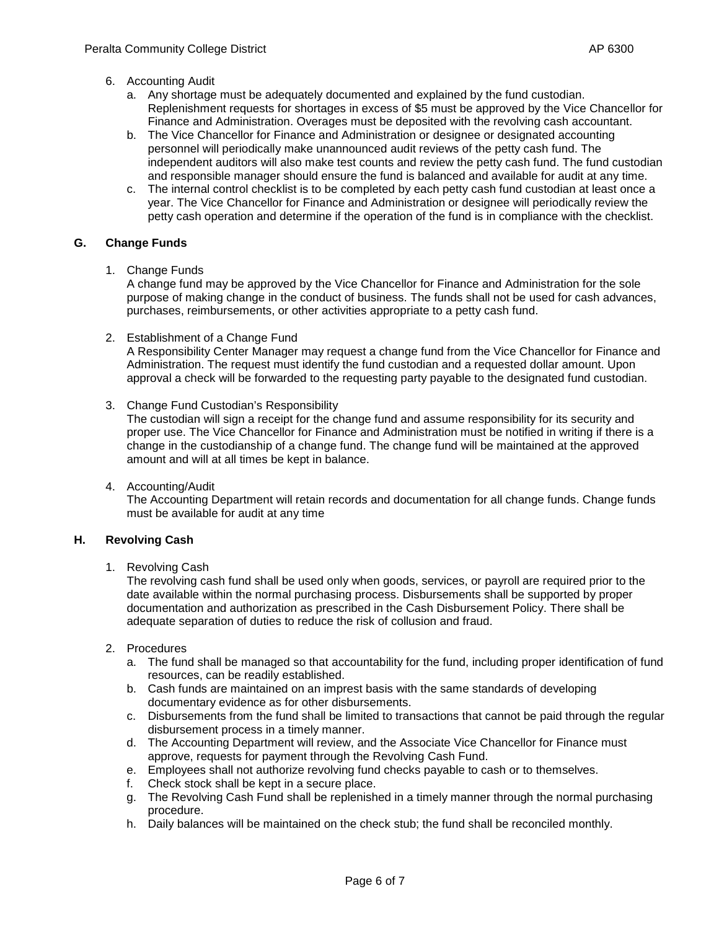### 6. Accounting Audit

- a. Any shortage must be adequately documented and explained by the fund custodian. Replenishment requests for shortages in excess of \$5 must be approved by the Vice Chancellor for Finance and Administration. Overages must be deposited with the revolving cash accountant.
- b. The Vice Chancellor for Finance and Administration or designee or designated accounting personnel will periodically make unannounced audit reviews of the petty cash fund. The independent auditors will also make test counts and review the petty cash fund. The fund custodian and responsible manager should ensure the fund is balanced and available for audit at any time.
- c. The internal control checklist is to be completed by each petty cash fund custodian at least once a year. The Vice Chancellor for Finance and Administration or designee will periodically review the petty cash operation and determine if the operation of the fund is in compliance with the checklist.

### **G. Change Funds**

1. Change Funds

A change fund may be approved by the Vice Chancellor for Finance and Administration for the sole purpose of making change in the conduct of business. The funds shall not be used for cash advances, purchases, reimbursements, or other activities appropriate to a petty cash fund.

2. Establishment of a Change Fund

A Responsibility Center Manager may request a change fund from the Vice Chancellor for Finance and Administration. The request must identify the fund custodian and a requested dollar amount. Upon approval a check will be forwarded to the requesting party payable to the designated fund custodian.

3. Change Fund Custodian's Responsibility

The custodian will sign a receipt for the change fund and assume responsibility for its security and proper use. The Vice Chancellor for Finance and Administration must be notified in writing if there is a change in the custodianship of a change fund. The change fund will be maintained at the approved amount and will at all times be kept in balance.

4. Accounting/Audit

The Accounting Department will retain records and documentation for all change funds. Change funds must be available for audit at any time

## **H. Revolving Cash**

1. Revolving Cash

The revolving cash fund shall be used only when goods, services, or payroll are required prior to the date available within the normal purchasing process. Disbursements shall be supported by proper documentation and authorization as prescribed in the Cash Disbursement Policy. There shall be adequate separation of duties to reduce the risk of collusion and fraud.

- 2. Procedures
	- a. The fund shall be managed so that accountability for the fund, including proper identification of fund resources, can be readily established.
	- b. Cash funds are maintained on an imprest basis with the same standards of developing documentary evidence as for other disbursements.
	- c. Disbursements from the fund shall be limited to transactions that cannot be paid through the regular disbursement process in a timely manner.
	- d. The Accounting Department will review, and the Associate Vice Chancellor for Finance must approve, requests for payment through the Revolving Cash Fund.
	- e. Employees shall not authorize revolving fund checks payable to cash or to themselves.
	- f. Check stock shall be kept in a secure place.
	- g. The Revolving Cash Fund shall be replenished in a timely manner through the normal purchasing procedure.
	- h. Daily balances will be maintained on the check stub; the fund shall be reconciled monthly.